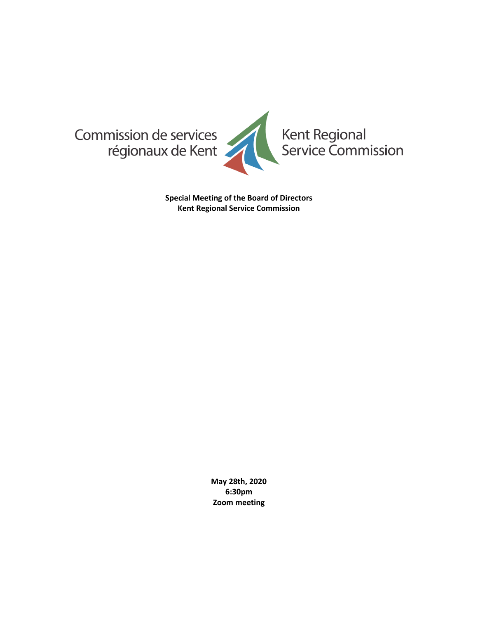

**Special Meeting of the Board of Directors Kent Regional Service Commission**

> **May 28th, 2020 6:30pm Zoom meeting**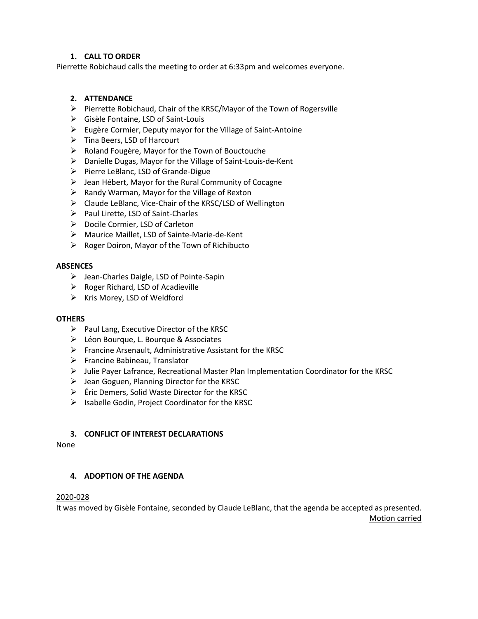# **1. CALL TO ORDER**

Pierrette Robichaud calls the meeting to order at 6:33pm and welcomes everyone.

# **2. ATTENDANCE**

- ➢ Pierrette Robichaud, Chair of the KRSC/Mayor of the Town of Rogersville
- ➢ Gisèle Fontaine, LSD of Saint-Louis
- ➢ Eugère Cormier, Deputy mayor for the Village of Saint-Antoine
- ➢ Tina Beers, LSD of Harcourt
- ➢ Roland Fougère, Mayor for the Town of Bouctouche
- ➢ Danielle Dugas, Mayor for the Village of Saint-Louis-de-Kent
- ➢ Pierre LeBlanc, LSD of Grande-Digue
- $\triangleright$  Jean Hébert, Mayor for the Rural Community of Cocagne
- ➢ Randy Warman, Mayor for the Village of Rexton
- ➢ Claude LeBlanc, Vice-Chair of the KRSC/LSD of Wellington
- ➢ Paul Lirette, LSD of Saint-Charles
- ➢ Docile Cormier, LSD of Carleton
- ➢ Maurice Maillet, LSD of Sainte-Marie-de-Kent
- ➢ Roger Doiron, Mayor of the Town of Richibucto

#### **ABSENCES**

- ➢ Jean-Charles Daigle, LSD of Pointe-Sapin
- ➢ Roger Richard, LSD of Acadieville
- $\triangleright$  Kris Morey, LSD of Weldford

### **OTHERS**

- $\triangleright$  Paul Lang, Executive Director of the KRSC
- ➢ Léon Bourque, L. Bourque & Associates
- ➢ Francine Arsenault, Administrative Assistant for the KRSC
- ➢ Francine Babineau, Translator
- $\triangleright$  Julie Payer Lafrance, Recreational Master Plan Implementation Coordinator for the KRSC
- ➢ Jean Goguen, Planning Director for the KRSC
- $\triangleright$  Éric Demers, Solid Waste Director for the KRSC
- ➢ Isabelle Godin, Project Coordinator for the KRSC

#### **3. CONFLICT OF INTEREST DECLARATIONS**

None

#### **4. ADOPTION OF THE AGENDA**

#### 2020-028

It was moved by Gisèle Fontaine, seconded by Claude LeBlanc, that the agenda be accepted as presented.

Motion carried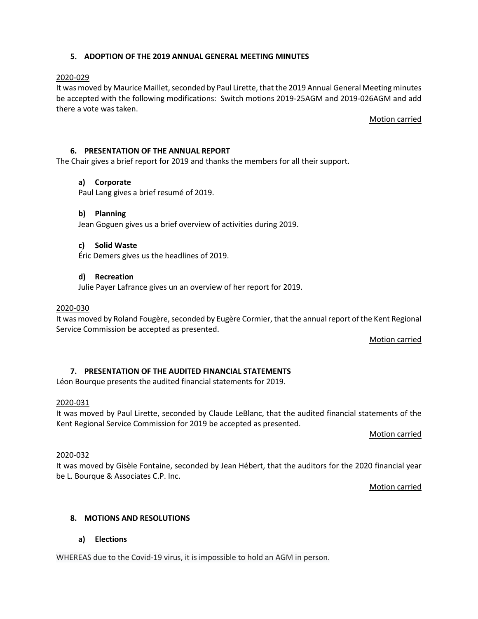### **5. ADOPTION OF THE 2019 ANNUAL GENERAL MEETING MINUTES**

### 2020-029

It was moved by Maurice Maillet, seconded by Paul Lirette, that the 2019 Annual General Meeting minutes be accepted with the following modifications: Switch motions 2019-25AGM and 2019-026AGM and add there a vote was taken.

Motion carried

### **6. PRESENTATION OF THE ANNUAL REPORT**

The Chair gives a brief report for 2019 and thanks the members for all their support.

#### **a) Corporate**

Paul Lang gives a brief resumé of 2019.

#### **b) Planning**

Jean Goguen gives us a brief overview of activities during 2019.

#### **c) Solid Waste**

Éric Demers gives us the headlines of 2019.

#### **d) Recreation**

Julie Payer Lafrance gives un an overview of her report for 2019.

#### 2020-030

It was moved by Roland Fougère, seconded by Eugère Cormier, that the annual report of the Kent Regional Service Commission be accepted as presented.

Motion carried

### **7. PRESENTATION OF THE AUDITED FINANCIAL STATEMENTS**

Léon Bourque presents the audited financial statements for 2019.

#### 2020-031

It was moved by Paul Lirette, seconded by Claude LeBlanc, that the audited financial statements of the Kent Regional Service Commission for 2019 be accepted as presented.

Motion carried

#### 2020-032

It was moved by Gisèle Fontaine, seconded by Jean Hébert, that the auditors for the 2020 financial year be L. Bourque & Associates C.P. Inc.

Motion carried

### **8. MOTIONS AND RESOLUTIONS**

### **a) Elections**

WHEREAS due to the Covid-19 virus, it is impossible to hold an AGM in person.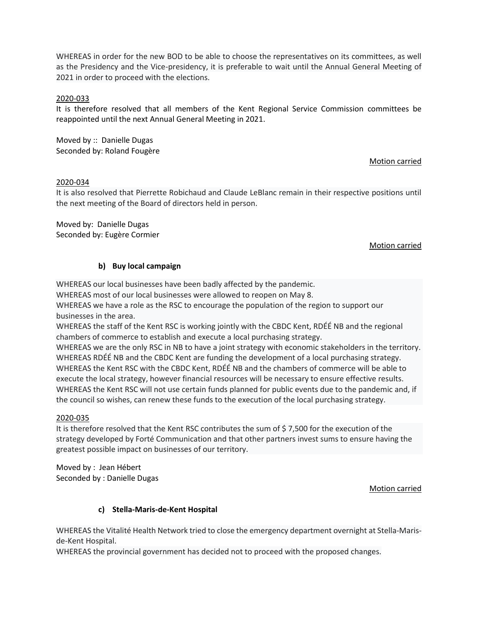WHEREAS in order for the new BOD to be able to choose the representatives on its committees, as well as the Presidency and the Vice-presidency, it is preferable to wait until the Annual General Meeting of 2021 in order to proceed with the elections.

### 2020-033

It is therefore resolved that all members of the Kent Regional Service Commission committees be reappointed until the next Annual General Meeting in 2021.

Moved by :: Danielle Dugas Seconded by: Roland Fougère

### Motion carried

### 2020-034

It is also resolved that Pierrette Robichaud and Claude LeBlanc remain in their respective positions until the next meeting of the Board of directors held in person.

Moved by: Danielle Dugas Seconded by: Eugère Cormier

### Motion carried

# **b) Buy local campaign**

WHEREAS our local businesses have been badly affected by the pandemic.

WHEREAS most of our local businesses were allowed to reopen on May 8.

WHEREAS we have a role as the RSC to encourage the population of the region to support our businesses in the area.

WHEREAS the staff of the Kent RSC is working jointly with the CBDC Kent, RDÉÉ NB and the regional chambers of commerce to establish and execute a local purchasing strategy.

WHEREAS we are the only RSC in NB to have a joint strategy with economic stakeholders in the territory. WHEREAS RDÉÉ NB and the CBDC Kent are funding the development of a local purchasing strategy. WHEREAS the Kent RSC with the CBDC Kent, RDÉÉ NB and the chambers of commerce will be able to execute the local strategy, however financial resources will be necessary to ensure effective results. WHEREAS the Kent RSC will not use certain funds planned for public events due to the pandemic and, if the council so wishes, can renew these funds to the execution of the local purchasing strategy.

### 2020-035

It is therefore resolved that the Kent RSC contributes the sum of \$ 7,500 for the execution of the strategy developed by Forté Communication and that other partners invest sums to ensure having the greatest possible impact on businesses of our territory.

Moved by : Jean Hébert Seconded by : Danielle Dugas

### Motion carried

# **c) Stella-Maris-de-Kent Hospital**

WHEREAS the Vitalité Health Network tried to close the emergency department overnight at Stella-Marisde-Kent Hospital.

WHEREAS the provincial government has decided not to proceed with the proposed changes.